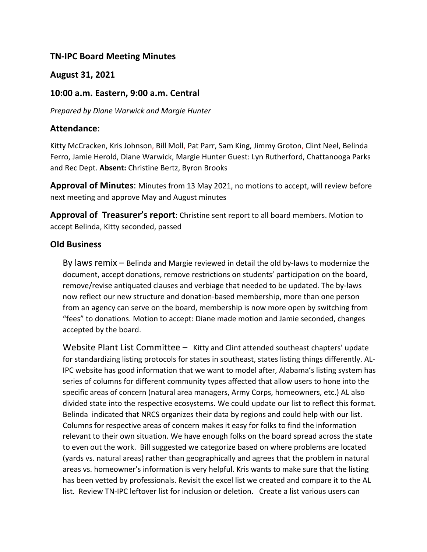### **TN-IPC Board Meeting Minutes**

# **August 31, 2021**

# **10:00 a.m. Eastern, 9:00 a.m. Central**

*Prepared by Diane Warwick and Margie Hunter*

### **Attendance**:

Kitty McCracken, Kris Johnson, Bill Moll, Pat Parr, Sam King, Jimmy Groton, Clint Neel, Belinda Ferro, Jamie Herold, Diane Warwick, Margie Hunter Guest: Lyn Rutherford, Chattanooga Parks and Rec Dept. **Absent:** Christine Bertz, Byron Brooks

**Approval of Minutes**: Minutes from 13 May 2021, no motions to accept, will review before next meeting and approve May and August minutes

**Approval of Treasurer's report**: Christine sent report to all board members. Motion to accept Belinda, Kitty seconded, passed

# **Old Business**

By laws remix – Belinda and Margie reviewed in detail the old by-laws to modernize the document, accept donations, remove restrictions on students' participation on the board, remove/revise antiquated clauses and verbiage that needed to be updated. The by-laws now reflect our new structure and donation-based membership, more than one person from an agency can serve on the board, membership is now more open by switching from "fees" to donations. Motion to accept: Diane made motion and Jamie seconded, changes accepted by the board.

Website Plant List Committee - Kitty and Clint attended southeast chapters' update for standardizing listing protocols for states in southeast, states listing things differently. AL-IPC website has good information that we want to model after, Alabama's listing system has series of columns for different community types affected that allow users to hone into the specific areas of concern (natural area managers, Army Corps, homeowners, etc.) AL also divided state into the respective ecosystems. We could update our list to reflect this format. Belinda indicated that NRCS organizes their data by regions and could help with our list. Columns for respective areas of concern makes it easy for folks to find the information relevant to their own situation. We have enough folks on the board spread across the state to even out the work. Bill suggested we categorize based on where problems are located (yards vs. natural areas) rather than geographically and agrees that the problem in natural areas vs. homeowner's information is very helpful. Kris wants to make sure that the listing has been vetted by professionals. Revisit the excel list we created and compare it to the AL list. Review TN-IPC leftover list for inclusion or deletion. Create a list various users can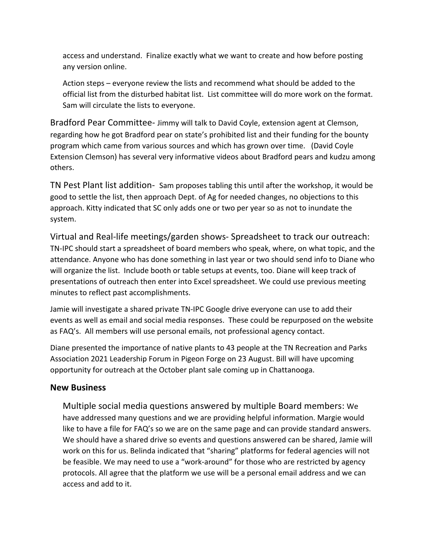access and understand. Finalize exactly what we want to create and how before posting any version online.

Action steps – everyone review the lists and recommend what should be added to the official list from the disturbed habitat list. List committee will do more work on the format. Sam will circulate the lists to everyone.

Bradford Pear Committee- Jimmy will talk to David Coyle, extension agent at Clemson, regarding how he got Bradford pear on state's prohibited list and their funding for the bounty program which came from various sources and which has grown over time. (David Coyle Extension Clemson) has several very informative videos about Bradford pears and kudzu among others.

TN Pest Plant list addition- Sam proposes tabling this until after the workshop, it would be good to settle the list, then approach Dept. of Ag for needed changes, no objections to this approach. Kitty indicated that SC only adds one or two per year so as not to inundate the system.

Virtual and Real-life meetings/garden shows- Spreadsheet to track our outreach: TN-IPC should start a spreadsheet of board members who speak, where, on what topic, and the attendance. Anyone who has done something in last year or two should send info to Diane who will organize the list. Include booth or table setups at events, too. Diane will keep track of presentations of outreach then enter into Excel spreadsheet. We could use previous meeting minutes to reflect past accomplishments.

Jamie will investigate a shared private TN-IPC Google drive everyone can use to add their events as well as email and social media responses. These could be repurposed on the website as FAQ's. All members will use personal emails, not professional agency contact.

Diane presented the importance of native plants to 43 people at the TN Recreation and Parks Association 2021 Leadership Forum in Pigeon Forge on 23 August. Bill will have upcoming opportunity for outreach at the October plant sale coming up in Chattanooga.

#### **New Business**

Multiple social media questions answered by multiple Board members: We have addressed many questions and we are providing helpful information. Margie would like to have a file for FAQ's so we are on the same page and can provide standard answers. We should have a shared drive so events and questions answered can be shared, Jamie will work on this for us. Belinda indicated that "sharing" platforms for federal agencies will not be feasible. We may need to use a "work-around" for those who are restricted by agency protocols. All agree that the platform we use will be a personal email address and we can access and add to it.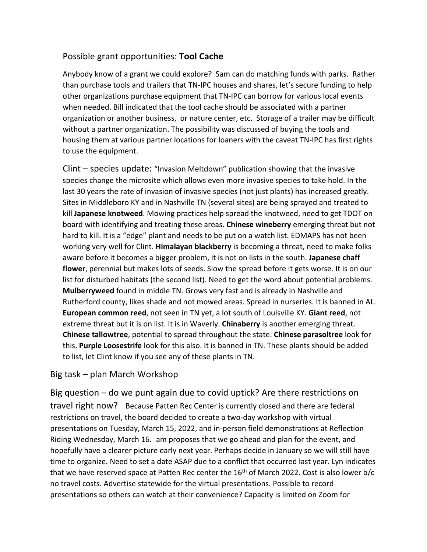# Possible grant opportunities: **Tool Cache**

Anybody know of a grant we could explore? Sam can do matching funds with parks. Rather than purchase tools and trailers that TN-IPC houses and shares, let's secure funding to help other organizations purchase equipment that TN-IPC can borrow for various local events when needed. Bill indicated that the tool cache should be associated with a partner organization or another business, or nature center, etc. Storage of a trailer may be difficult without a partner organization. The possibility was discussed of buying the tools and housing them at various partner locations for loaners with the caveat TN-IPC has first rights to use the equipment.

Clint – species update: "Invasion Meltdown" publication showing that the invasive species change the microsite which allows even more invasive species to take hold. In the last 30 years the rate of invasion of invasive species (not just plants) has increased greatly. Sites in Middleboro KY and in Nashville TN (several sites) are being sprayed and treated to kill **Japanese knotweed**. Mowing practices help spread the knotweed, need to get TDOT on board with identifying and treating these areas. **Chinese wineberry** emerging threat but not hard to kill. It is a "edge" plant and needs to be put on a watch list. EDMAPS has not been working very well for Clint. **Himalayan blackberry** is becoming a threat, need to make folks aware before it becomes a bigger problem, it is not on lists in the south. **Japanese chaff flower**, perennial but makes lots of seeds. Slow the spread before it gets worse. It is on our list for disturbed habitats (the second list). Need to get the word about potential problems. **Mulberryweed** found in middle TN. Grows very fast and is already in Nashville and Rutherford county, likes shade and not mowed areas. Spread in nurseries. It is banned in AL. **European common reed**, not seen in TN yet, a lot south of Louisville KY. **Giant reed**, not extreme threat but it is on list. It is in Waverly. **Chinaberry** is another emerging threat. **Chinese tallowtree**, potential to spread throughout the state. **Chinese parasoltree** look for this. **Purple Loosestrife** look for this also. It is banned in TN. These plants should be added to list, let Clint know if you see any of these plants in TN.

# Big task – plan March Workshop

Big question – do we punt again due to covid uptick? Are there restrictions on travel right now? Because Patten Rec Center is currently closed and there are federal restrictions on travel, the board decided to create a two-day workshop with virtual presentations on Tuesday, March 15, 2022, and in-person field demonstrations at Reflection Riding Wednesday, March 16. am proposes that we go ahead and plan for the event, and hopefully have a clearer picture early next year. Perhaps decide in January so we will still have time to organize. Need to set a date ASAP due to a conflict that occurred last year. Lyn indicates that we have reserved space at Patten Rec center the  $16<sup>th</sup>$  of March 2022. Cost is also lower b/c no travel costs. Advertise statewide for the virtual presentations. Possible to record presentations so others can watch at their convenience? Capacity is limited on Zoom for